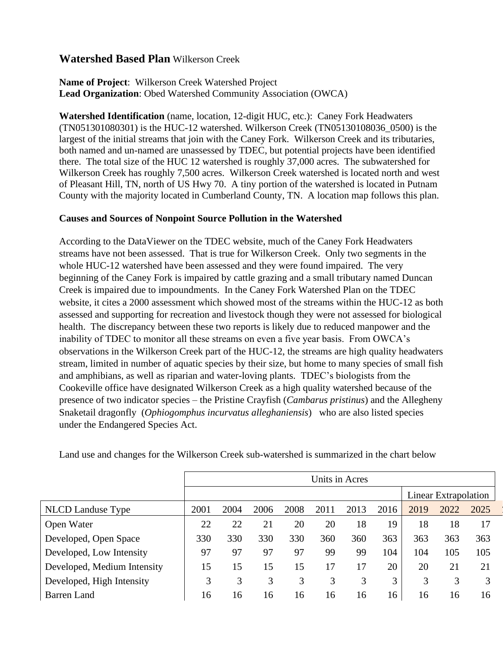# **Watershed Based Plan** Wilkerson Creek

## **Name of Project**: Wilkerson Creek Watershed Project **Lead Organization**: Obed Watershed Community Association (OWCA)

**Watershed Identification** (name, location, 12-digit HUC, etc.): Caney Fork Headwaters (TN051301080301) is the HUC-12 watershed. Wilkerson Creek (TN05130108036\_0500) is the largest of the initial streams that join with the Caney Fork. Wilkerson Creek and its tributaries, both named and un-named are unassessed by TDEC, but potential projects have been identified there. The total size of the HUC 12 watershed is roughly 37,000 acres. The subwatershed for Wilkerson Creek has roughly 7,500 acres.Wilkerson Creek watershed is located north and west of Pleasant Hill, TN, north of US Hwy 70. A tiny portion of the watershed is located in Putnam County with the majority located in Cumberland County, TN. A location map follows this plan.

### **Causes and Sources of Nonpoint Source Pollution in the Watershed**

According to the DataViewer on the TDEC website, much of the Caney Fork Headwaters streams have not been assessed. That is true for Wilkerson Creek. Only two segments in the whole HUC-12 watershed have been assessed and they were found impaired. The very beginning of the Caney Fork is impaired by cattle grazing and a small tributary named Duncan Creek is impaired due to impoundments. In the Caney Fork Watershed Plan on the TDEC website, it cites a 2000 assessment which showed most of the streams within the HUC-12 as both assessed and supporting for recreation and livestock though they were not assessed for biological health. The discrepancy between these two reports is likely due to reduced manpower and the inability of TDEC to monitor all these streams on even a five year basis. From OWCA's observations in the Wilkerson Creek part of the HUC-12, the streams are high quality headwaters stream, limited in number of aquatic species by their size, but home to many species of small fish and amphibians, as well as riparian and water-loving plants. TDEC's biologists from the Cookeville office have designated Wilkerson Creek as a high quality watershed because of the presence of two indicator species – the Pristine Crayfish (*Cambarus pristinus*) and the Allegheny Snaketail dragonfly (*Ophiogomphus incurvatus alleghaniensis*) who are also listed species under the Endangered Species Act.

|                             | Units in Acres |      |      |      |      |      |      |      |                      |      |
|-----------------------------|----------------|------|------|------|------|------|------|------|----------------------|------|
|                             |                |      |      |      |      |      |      |      | Linear Extrapolation |      |
| <b>NLCD</b> Landuse Type    | 2001           | 2004 | 2006 | 2008 | 2011 | 2013 | 2016 | 2019 | 2022                 | 2025 |
| Open Water                  | 22             | 22   | 21   | 20   | 20   | 18   | 19   | 18   | 18                   | 17   |
| Developed, Open Space       | 330            | 330  | 330  | 330  | 360  | 360  | 363  | 363  | 363                  | 363  |
| Developed, Low Intensity    | 97             | 97   | 97   | 97   | 99   | 99   | 104  | 104  | 105                  | 105  |
| Developed, Medium Intensity | 15             | 15   | 15   | 15   | 17   | 17   | 20   | 20   | 21                   | 21   |
| Developed, High Intensity   | 3              | 3    | 3    | 3    | 3    | 3    | 3    | 3    | 3                    | 3    |
| <b>Barren Land</b>          | 16             | 16   | 16   | 16   | 16   | 16   | 16   | 16   | 16                   | 16   |

Land use and changes for the Wilkerson Creek sub-watershed is summarized in the chart below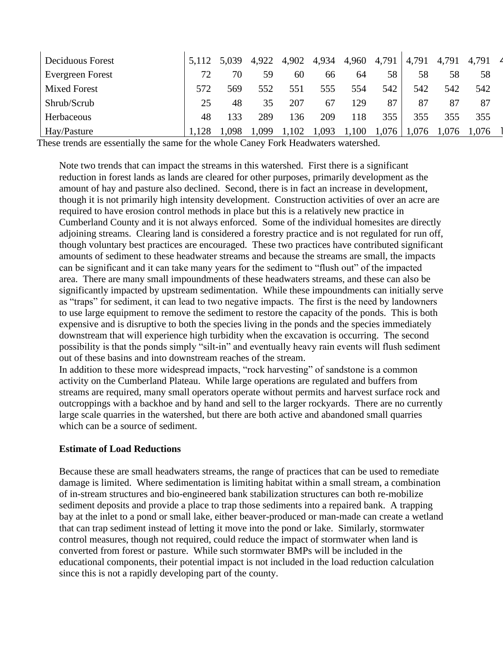| Deciduous Forest    | 5,112 | 5,039 | 4,922 | 4,902 | 4,934 | 4,960 | 4,791 | 4,791 | 4,791 | 4,791 |
|---------------------|-------|-------|-------|-------|-------|-------|-------|-------|-------|-------|
| Evergreen Forest    | 72    | 70    | 59    | 60    | 66    | 64    | 58    | 58    | 58    | 58    |
| <b>Mixed Forest</b> | 572   | 569   | 552   | 551   | 555   | 554   | 542   | 542   | 542   | 542   |
| Shrub/Scrub         | 25    | 48    |       | 207   | 67    | 129   | 87    | 87    | 87    | 87    |
| Herbaceous          | 48    | 133   | 289   | 136   | 209   | 18    | 355   | 355   | 355   | 355   |
| Hay/Pasture         |       | 098   | .099  | .102  | ,093  | .100  | .076  | .,076 | .076  | 1,076 |

These trends are essentially the same for the whole Caney Fork Headwaters watershed.

Note two trends that can impact the streams in this watershed. First there is a significant reduction in forest lands as lands are cleared for other purposes, primarily development as the amount of hay and pasture also declined. Second, there is in fact an increase in development, though it is not primarily high intensity development. Construction activities of over an acre are required to have erosion control methods in place but this is a relatively new practice in Cumberland County and it is not always enforced. Some of the individual homesites are directly adjoining streams. Clearing land is considered a forestry practice and is not regulated for run off, though voluntary best practices are encouraged. These two practices have contributed significant amounts of sediment to these headwater streams and because the streams are small, the impacts can be significant and it can take many years for the sediment to "flush out" of the impacted area. There are many small impoundments of these headwaters streams, and these can also be significantly impacted by upstream sedimentation. While these impoundments can initially serve as "traps" for sediment, it can lead to two negative impacts. The first is the need by landowners to use large equipment to remove the sediment to restore the capacity of the ponds. This is both expensive and is disruptive to both the species living in the ponds and the species immediately downstream that will experience high turbidity when the excavation is occurring. The second possibility is that the ponds simply "silt-in" and eventually heavy rain events will flush sediment out of these basins and into downstream reaches of the stream.

In addition to these more widespread impacts, "rock harvesting" of sandstone is a common activity on the Cumberland Plateau. While large operations are regulated and buffers from streams are required, many small operators operate without permits and harvest surface rock and outcroppings with a backhoe and by hand and sell to the larger rockyards. There are no currently large scale quarries in the watershed, but there are both active and abandoned small quarries which can be a source of sediment.

#### **Estimate of Load Reductions**

Because these are small headwaters streams, the range of practices that can be used to remediate damage is limited. Where sedimentation is limiting habitat within a small stream, a combination of in-stream structures and bio-engineered bank stabilization structures can both re-mobilize sediment deposits and provide a place to trap those sediments into a repaired bank. A trapping bay at the inlet to a pond or small lake, either beaver-produced or man-made can create a wetland that can trap sediment instead of letting it move into the pond or lake. Similarly, stormwater control measures, though not required, could reduce the impact of stormwater when land is converted from forest or pasture. While such stormwater BMPs will be included in the educational components, their potential impact is not included in the load reduction calculation since this is not a rapidly developing part of the county.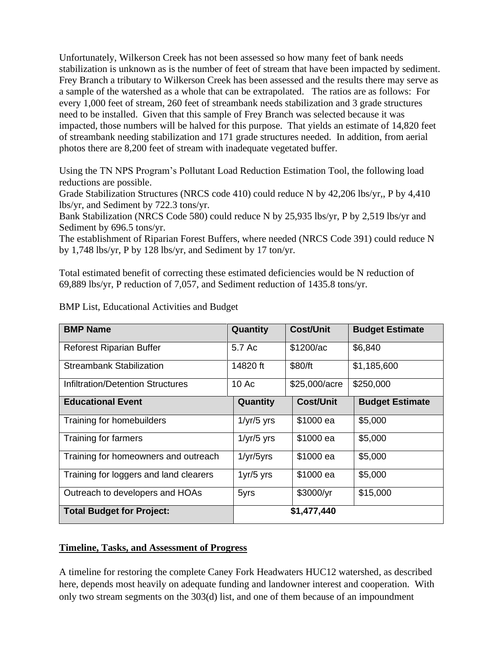Unfortunately, Wilkerson Creek has not been assessed so how many feet of bank needs stabilization is unknown as is the number of feet of stream that have been impacted by sediment. Frey Branch a tributary to Wilkerson Creek has been assessed and the results there may serve as a sample of the watershed as a whole that can be extrapolated. The ratios are as follows: For every 1,000 feet of stream, 260 feet of streambank needs stabilization and 3 grade structures need to be installed. Given that this sample of Frey Branch was selected because it was impacted, those numbers will be halved for this purpose. That yields an estimate of 14,820 feet of streambank needing stabilization and 171 grade structures needed. In addition, from aerial photos there are 8,200 feet of stream with inadequate vegetated buffer.

Using the TN NPS Program's Pollutant Load Reduction Estimation Tool, the following load reductions are possible.

Grade Stabilization Structures (NRCS code 410) could reduce N by 42,206 lbs/yr,, P by 4,410 lbs/yr, and Sediment by 722.3 tons/yr.

Bank Stabilization (NRCS Code 580) could reduce N by 25,935 lbs/yr, P by 2,519 lbs/yr and Sediment by 696.5 tons/yr.

The establishment of Riparian Forest Buffers, where needed (NRCS Code 391) could reduce N by 1,748 lbs/yr, P by 128 lbs/yr, and Sediment by 17 ton/yr.

Total estimated benefit of correcting these estimated deficiencies would be N reduction of 69,889 lbs/yr, P reduction of 7,057, and Sediment reduction of 1435.8 tons/yr.

| <b>BMP Name</b>                          | Quantity                | <b>Cost/Unit</b> | <b>Budget Estimate</b> |  |  |  |  |
|------------------------------------------|-------------------------|------------------|------------------------|--|--|--|--|
| <b>Reforest Riparian Buffer</b>          | 5.7 Ac                  | \$1200/ac        | \$6,840                |  |  |  |  |
| <b>Streambank Stabilization</b>          | 14820 ft                | \$80/ft          | \$1,185,600            |  |  |  |  |
| <b>Infiltration/Detention Structures</b> | 10 <sub>Ac</sub>        | \$25,000/acre    | \$250,000              |  |  |  |  |
| <b>Educational Event</b>                 | Quantity                | <b>Cost/Unit</b> | <b>Budget Estimate</b> |  |  |  |  |
| Training for homebuilders                | $1/\gamma r/5$ yrs      | \$1000 ea        | \$5,000                |  |  |  |  |
| Training for farmers                     | $1/\gamma r/5$ yrs      | \$1000 ea        | \$5,000                |  |  |  |  |
| Training for homeowners and outreach     | $1/\gamma r/5\gamma rs$ | \$1000 ea        | \$5,000                |  |  |  |  |
| Training for loggers and land clearers   | $1yr/5$ yrs             | \$1000 ea        | \$5,000                |  |  |  |  |
| Outreach to developers and HOAs          | 5yrs                    | \$3000/yr        | \$15,000               |  |  |  |  |
| <b>Total Budget for Project:</b>         |                         | \$1,477,440      |                        |  |  |  |  |

BMP List, Educational Activities and Budget

## **Timeline, Tasks, and Assessment of Progress**

A timeline for restoring the complete Caney Fork Headwaters HUC12 watershed, as described here, depends most heavily on adequate funding and landowner interest and cooperation. With only two stream segments on the 303(d) list, and one of them because of an impoundment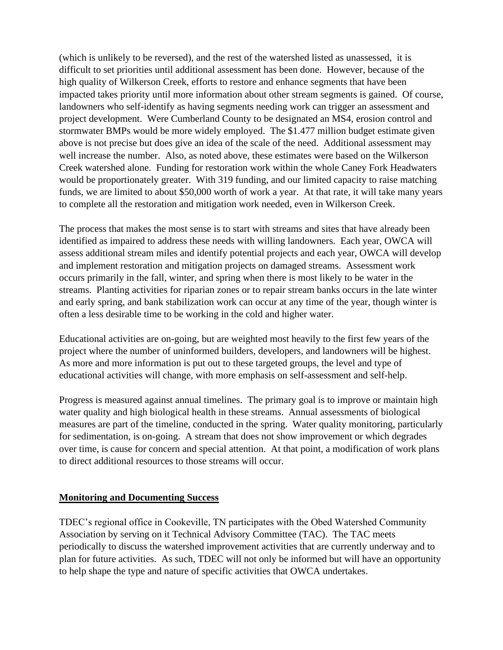(which is unlikely to be reversed), and the rest of the watershed listed as unassessed, it is difficult to set priorities until additional assessment has been done. However, because of the high quality of Wilkerson Creek, efforts to restore and enhance segments that have been impacted takes priority until more information about other stream segments is gained. Of course, landowners who self-identify as having segments needing work can trigger an assessment and project development. Were Cumberland County to be designated an MS4, erosion control and stormwater BMPs would be more widely employed. The \$1.477 million budget estimate given above is not precise but does give an idea of the scale of the need. Additional assessment may well increase the number. Also, as noted above, these estimates were based on the Wilkerson Creek watershed alone. Funding for restoration work within the whole Caney Fork Headwaters would be proportionately greater. With 319 funding, and our limited capacity to raise matching funds, we are limited to about \$50,000 worth of work a year. At that rate, it will take many years to complete all the restoration and mitigation work needed, even in Wilkerson Creek.

The process that makes the most sense is to start with streams and sites that have already been identified as impaired to address these needs with willing landowners. Each year, OWCA will assess additional stream miles and identify potential projects and each year, OWCA will develop and implement restoration and mitigation projects on damaged streams. Assessment work occurs primarily in the fall, winter, and spring when there is most likely to be water in the streams. Planting activities for riparian zones or to repair stream banks occurs in the late winter and early spring, and bank stabilization work can occur at any time of the year, though winter is often a less desirable time to be working in the cold and higher water.

Educational activities are on-going, but are weighted most heavily to the first few years of the project where the number of uninformed builders, developers, and landowners will be highest. As more and more information is put out to these targeted groups, the level and type of educational activities will change, with more emphasis on self-assessment and self-help.

Progress is measured against annual timelines. The primary goal is to improve or maintain high water quality and high biological health in these streams. Annual assessments of biological measures are part of the timeline, conducted in the spring. Water quality monitoring, particularly for sedimentation, is on-going. A stream that does not show improvement or which degrades over time, is cause for concern and special attention. At that point, a modification of work plans to direct additional resources to those streams will occur.

## **Monitoring and Documenting Success**

TDEC's regional office in Cookeville, TN participates with the Obed Watershed Community Association by serving on it Technical Advisory Committee (TAC). The TAC meets periodically to discuss the watershed improvement activities that are currently underway and to plan for future activities. As such, TDEC will not only be informed but will have an opportunity to help shape the type and nature of specific activities that OWCA undertakes.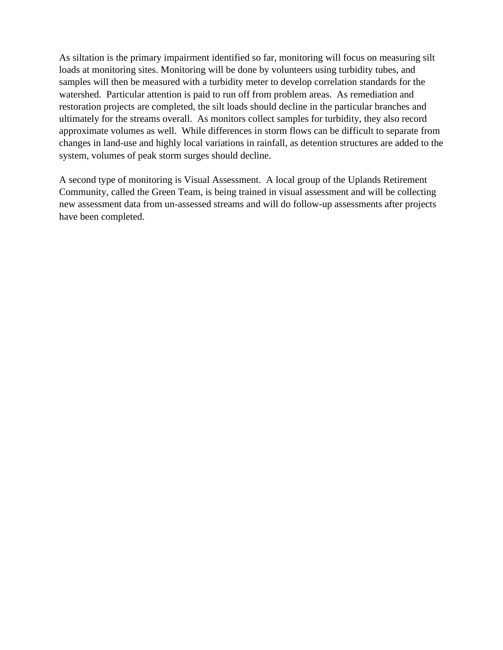As siltation is the primary impairment identified so far, monitoring will focus on measuring silt loads at monitoring sites. Monitoring will be done by volunteers using turbidity tubes, and samples will then be measured with a turbidity meter to develop correlation standards for the watershed. Particular attention is paid to run off from problem areas. As remediation and restoration projects are completed, the silt loads should decline in the particular branches and ultimately for the streams overall. As monitors collect samples for turbidity, they also record approximate volumes as well. While differences in storm flows can be difficult to separate from changes in land-use and highly local variations in rainfall, as detention structures are added to the system, volumes of peak storm surges should decline.

A second type of monitoring is Visual Assessment. A local group of the Uplands Retirement Community, called the Green Team, is being trained in visual assessment and will be collecting new assessment data from un-assessed streams and will do follow-up assessments after projects have been completed.